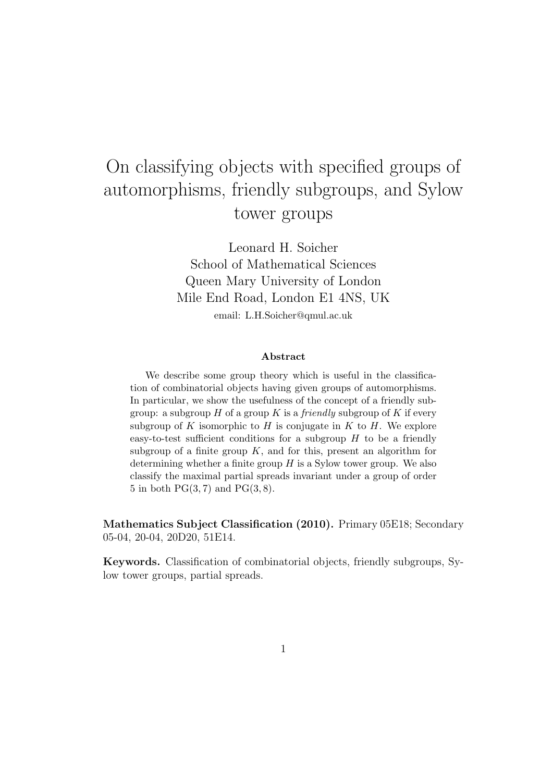# On classifying objects with specified groups of automorphisms, friendly subgroups, and Sylow tower groups

Leonard H. Soicher School of Mathematical Sciences Queen Mary University of London Mile End Road, London E1 4NS, UK email: L.H.Soicher@qmul.ac.uk

#### Abstract

We describe some group theory which is useful in the classification of combinatorial objects having given groups of automorphisms. In particular, we show the usefulness of the concept of a friendly subgroup: a subgroup  $H$  of a group  $K$  is a *friendly* subgroup of  $K$  if every subgroup of K isomorphic to  $H$  is conjugate in  $K$  to  $H$ . We explore easy-to-test sufficient conditions for a subgroup  $H$  to be a friendly subgroup of a finite group  $K$ , and for this, present an algorithm for determining whether a finite group  $H$  is a Sylow tower group. We also classify the maximal partial spreads invariant under a group of order 5 in both  $PG(3, 7)$  and  $PG(3, 8)$ .

Mathematics Subject Classification (2010). Primary 05E18; Secondary 05-04, 20-04, 20D20, 51E14.

Keywords. Classification of combinatorial objects, friendly subgroups, Sylow tower groups, partial spreads.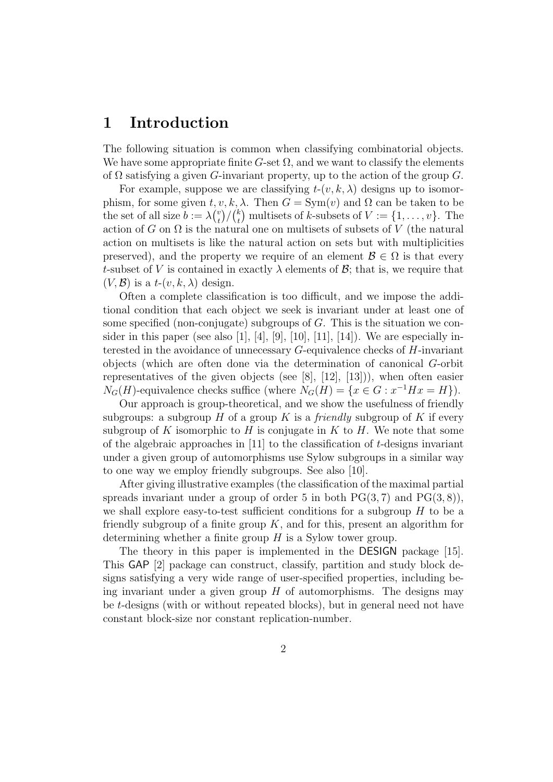### 1 Introduction

The following situation is common when classifying combinatorial objects. We have some appropriate finite G-set  $\Omega$ , and we want to classify the elements of  $\Omega$  satisfying a given G-invariant property, up to the action of the group G.

For example, suppose we are classifying  $t-(v, k, \lambda)$  designs up to isomorphism, for some given  $t, v, k, \lambda$ . Then  $G = \text{Sym}(v)$  and  $\Omega$  can be taken to be the set of all size  $b := \lambda {v \choose t}$  $\binom{v}{t}/\binom{k}{t}$  $_t^k$  multisets of k-subsets of  $V := \{1, \ldots, v\}$ . The action of G on  $\Omega$  is the natural one on multisets of subsets of V (the natural action on multisets is like the natural action on sets but with multiplicities preserved), and the property we require of an element  $\mathcal{B} \in \Omega$  is that every t-subset of V is contained in exactly  $\lambda$  elements of  $\mathcal{B}$ ; that is, we require that  $(V, \mathcal{B})$  is a  $t$ - $(v, k, \lambda)$  design.

Often a complete classification is too difficult, and we impose the additional condition that each object we seek is invariant under at least one of some specified (non-conjugate) subgroups of  $G$ . This is the situation we consider in this paper (see also [1], [4], [9], [10], [11], [14]). We are especially interested in the avoidance of unnecessary  $G$ -equivalence checks of  $H$ -invariant objects (which are often done via the determination of canonical G-orbit representatives of the given objects (see [8], [12], [13])), when often easier  $N_G(H)$ -equivalence checks suffice (where  $N_G(H) = \{x \in G : x^{-1}Hx = H\}$ ).

Our approach is group-theoretical, and we show the usefulness of friendly subgroups: a subgroup H of a group K is a *friendly* subgroup of K if every subgroup of K isomorphic to H is conjugate in K to H. We note that some of the algebraic approaches in  $[11]$  to the classification of t-designs invariant under a given group of automorphisms use Sylow subgroups in a similar way to one way we employ friendly subgroups. See also [10].

After giving illustrative examples (the classification of the maximal partial spreads invariant under a group of order 5 in both  $PG(3, 7)$  and  $PG(3, 8)$ , we shall explore easy-to-test sufficient conditions for a subgroup  $H$  to be a friendly subgroup of a finite group  $K$ , and for this, present an algorithm for determining whether a finite group  $H$  is a Sylow tower group.

The theory in this paper is implemented in the DESIGN package [15]. This GAP [2] package can construct, classify, partition and study block designs satisfying a very wide range of user-specified properties, including being invariant under a given group  $H$  of automorphisms. The designs may be t-designs (with or without repeated blocks), but in general need not have constant block-size nor constant replication-number.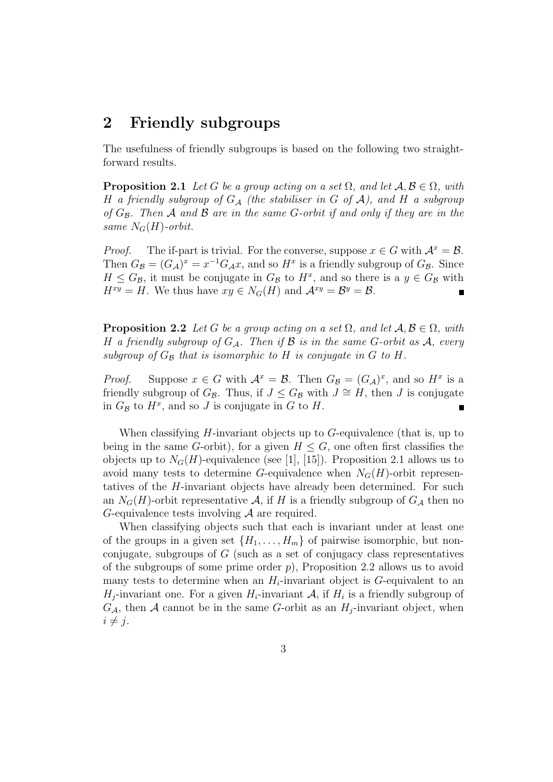# 2 Friendly subgroups

The usefulness of friendly subgroups is based on the following two straightforward results.

**Proposition 2.1** Let G be a group acting on a set  $\Omega$ , and let  $\mathcal{A}, \mathcal{B} \in \Omega$ , with H a friendly subgroup of  $G_A$  (the stabiliser in G of A), and H a subgroup of  $G_{\mathcal{B}}$ . Then A and B are in the same G-orbit if and only if they are in the same  $N_G(H)$ -orbit.

*Proof.* The if-part is trivial. For the converse, suppose  $x \in G$  with  $\mathcal{A}^x = \mathcal{B}$ . Then  $G_{\mathcal{B}} = (G_{\mathcal{A}})^x = x^{-1}G_{\mathcal{A}}x$ , and so  $H^x$  is a friendly subgroup of  $G_{\mathcal{B}}$ . Since  $H \leq G_{\mathcal{B}}$ , it must be conjugate in  $G_{\mathcal{B}}$  to  $H^x$ , and so there is a  $y \in G_{\mathcal{B}}$  with  $H^{xy} = H$ . We thus have  $xy \in N_G(H)$  and  $\mathcal{A}^{xy} = \mathcal{B}^y = \mathcal{B}$ . Е

**Proposition 2.2** Let G be a group acting on a set  $\Omega$ , and let  $\mathcal{A}, \mathcal{B} \in \Omega$ , with H a friendly subgroup of  $G_A$ . Then if B is in the same G-orbit as A, every subgroup of  $G_{\mathcal{B}}$  that is isomorphic to H is conjugate in G to H.

*Proof.* Suppose  $x \in G$  with  $\mathcal{A}^x = \mathcal{B}$ . Then  $G_{\mathcal{B}} = (G_{\mathcal{A}})^x$ , and so  $H^x$  is a friendly subgroup of  $G_{\mathcal{B}}$ . Thus, if  $J \leq G_{\mathcal{B}}$  with  $J \cong H$ , then J is conjugate in  $G_{\mathcal{B}}$  to  $H^x$ , and so J is conjugate in G to H.

When classifying  $H$ -invariant objects up to  $G$ -equivalence (that is, up to being in the same G-orbit), for a given  $H \leq G$ , one often first classifies the objects up to  $N_G(H)$ -equivalence (see [1], [15]). Proposition 2.1 allows us to avoid many tests to determine G-equivalence when  $N_G(H)$ -orbit representatives of the H-invariant objects have already been determined. For such an  $N_G(H)$ -orbit representative A, if H is a friendly subgroup of  $G_A$  then no G-equivalence tests involving A are required.

When classifying objects such that each is invariant under at least one of the groups in a given set  $\{H_1, \ldots, H_m\}$  of pairwise isomorphic, but nonconjugate, subgroups of  $G$  (such as a set of conjugacy class representatives of the subgroups of some prime order  $p$ ), Proposition 2.2 allows us to avoid many tests to determine when an  $H_i$ -invariant object is G-equivalent to an  $H_j$ -invariant one. For a given  $H_i$ -invariant A, if  $H_i$  is a friendly subgroup of  $G_{\mathcal{A}}$ , then  $\mathcal A$  cannot be in the same G-orbit as an  $H_i$ -invariant object, when  $i \neq j$ .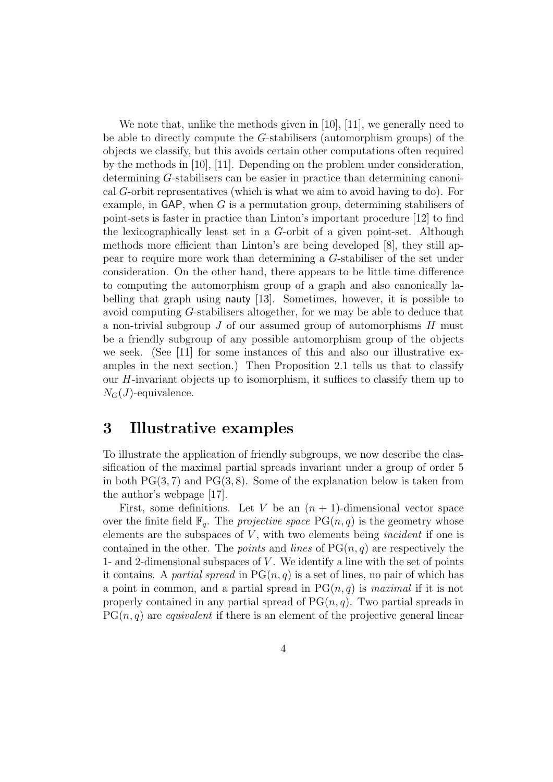We note that, unlike the methods given in [10], [11], we generally need to be able to directly compute the G-stabilisers (automorphism groups) of the objects we classify, but this avoids certain other computations often required by the methods in [10], [11]. Depending on the problem under consideration, determining G-stabilisers can be easier in practice than determining canonical G-orbit representatives (which is what we aim to avoid having to do). For example, in GAP, when  $G$  is a permutation group, determining stabilisers of point-sets is faster in practice than Linton's important procedure [12] to find the lexicographically least set in a G-orbit of a given point-set. Although methods more efficient than Linton's are being developed [8], they still appear to require more work than determining a G-stabiliser of the set under consideration. On the other hand, there appears to be little time difference to computing the automorphism group of a graph and also canonically labelling that graph using nauty [13]. Sometimes, however, it is possible to avoid computing G-stabilisers altogether, for we may be able to deduce that a non-trivial subgroup  $J$  of our assumed group of automorphisms  $H$  must be a friendly subgroup of any possible automorphism group of the objects we seek. (See [11] for some instances of this and also our illustrative examples in the next section.) Then Proposition 2.1 tells us that to classify our  $H$ -invariant objects up to isomorphism, it suffices to classify them up to  $N_G(J)$ -equivalence.

# 3 Illustrative examples

To illustrate the application of friendly subgroups, we now describe the classification of the maximal partial spreads invariant under a group of order 5 in both  $PG(3, 7)$  and  $PG(3, 8)$ . Some of the explanation below is taken from the author's webpage [17].

First, some definitions. Let V be an  $(n + 1)$ -dimensional vector space over the finite field  $\mathbb{F}_q$ . The projective space  $PG(n, q)$  is the geometry whose elements are the subspaces of  $V$ , with two elements being *incident* if one is contained in the other. The *points* and *lines* of  $PG(n, q)$  are respectively the 1- and 2-dimensional subspaces of  $V$ . We identify a line with the set of points it contains. A *partial spread* in  $PG(n, q)$  is a set of lines, no pair of which has a point in common, and a partial spread in  $PG(n, q)$  is maximal if it is not properly contained in any partial spread of  $PG(n, q)$ . Two partial spreads in  $PG(n, q)$  are *equivalent* if there is an element of the projective general linear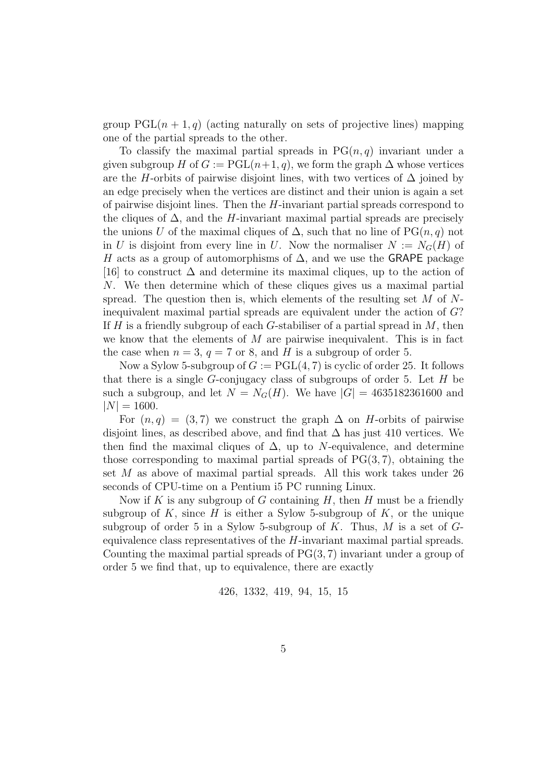group  $PGL(n + 1, q)$  (acting naturally on sets of projective lines) mapping one of the partial spreads to the other.

To classify the maximal partial spreads in  $PG(n, q)$  invariant under a given subgroup H of  $G := \text{PGL}(n+1, q)$ , we form the graph  $\Delta$  whose vertices are the H-orbits of pairwise disjoint lines, with two vertices of  $\Delta$  joined by an edge precisely when the vertices are distinct and their union is again a set of pairwise disjoint lines. Then the  $H$ -invariant partial spreads correspond to the cliques of  $\Delta$ , and the H-invariant maximal partial spreads are precisely the unions U of the maximal cliques of  $\Delta$ , such that no line of PG $(n, q)$  not in U is disjoint from every line in U. Now the normaliser  $N := N_G(H)$  of H acts as a group of automorphisms of  $\Delta$ , and we use the GRAPE package [16] to construct  $\Delta$  and determine its maximal cliques, up to the action of N. We then determine which of these cliques gives us a maximal partial spread. The question then is, which elements of the resulting set  $M$  of  $N$ inequivalent maximal partial spreads are equivalent under the action of G? If H is a friendly subgroup of each G-stabiliser of a partial spread in  $M$ , then we know that the elements of  $M$  are pairwise inequivalent. This is in fact the case when  $n = 3$ ,  $q = 7$  or 8, and H is a subgroup of order 5.

Now a Sylow 5-subgroup of  $G := \text{PGL}(4, 7)$  is cyclic of order 25. It follows that there is a single  $G$ -conjugacy class of subgroups of order 5. Let  $H$  be such a subgroup, and let  $N = N_G(H)$ . We have  $|G| = 4635182361600$  and  $|N| = 1600.$ 

For  $(n, q) = (3, 7)$  we construct the graph  $\Delta$  on *H*-orbits of pairwise disjoint lines, as described above, and find that  $\Delta$  has just 410 vertices. We then find the maximal cliques of  $\Delta$ , up to N-equivalence, and determine those corresponding to maximal partial spreads of  $PG(3, 7)$ , obtaining the set M as above of maximal partial spreads. All this work takes under 26 seconds of CPU-time on a Pentium i5 PC running Linux.

Now if K is any subgroup of G containing  $H$ , then H must be a friendly subgroup of K, since H is either a Sylow 5-subgroup of K, or the unique subgroup of order 5 in a Sylow 5-subgroup of  $K$ . Thus,  $M$  is a set of  $G$ equivalence class representatives of the H-invariant maximal partial spreads. Counting the maximal partial spreads of  $PG(3, 7)$  invariant under a group of order 5 we find that, up to equivalence, there are exactly

426, 1332, 419, 94, 15, 15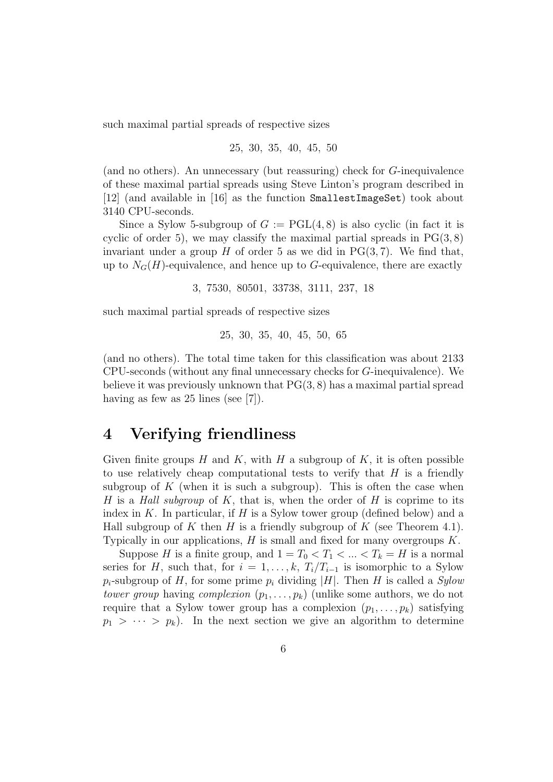such maximal partial spreads of respective sizes

25, 30, 35, 40, 45, 50

(and no others). An unnecessary (but reassuring) check for G-inequivalence of these maximal partial spreads using Steve Linton's program described in [12] (and available in [16] as the function SmallestImageSet) took about 3140 CPU-seconds.

Since a Sylow 5-subgroup of  $G := \text{PGL}(4, 8)$  is also cyclic (in fact it is cyclic of order 5), we may classify the maximal partial spreads in  $PG(3, 8)$ invariant under a group  $H$  of order 5 as we did in PG $(3, 7)$ . We find that, up to  $N_G(H)$ -equivalence, and hence up to G-equivalence, there are exactly

3, 7530, 80501, 33738, 3111, 237, 18

such maximal partial spreads of respective sizes

25, 30, 35, 40, 45, 50, 65

(and no others). The total time taken for this classification was about 2133 CPU-seconds (without any final unnecessary checks for G-inequivalence). We believe it was previously unknown that  $PG(3, 8)$  has a maximal partial spread having as few as 25 lines (see [7]).

## 4 Verifying friendliness

Given finite groups  $H$  and  $K$ , with  $H$  a subgroup of  $K$ , it is often possible to use relatively cheap computational tests to verify that  $H$  is a friendly subgroup of  $K$  (when it is such a subgroup). This is often the case when H is a Hall subgroup of K, that is, when the order of H is coprime to its index in  $K$ . In particular, if  $H$  is a Sylow tower group (defined below) and a Hall subgroup of K then H is a friendly subgroup of K (see Theorem 4.1). Typically in our applications,  $H$  is small and fixed for many overgroups  $K$ .

Suppose H is a finite group, and  $1 = T_0 < T_1 < ... < T_k = H$  is a normal series for H, such that, for  $i = 1, \ldots, k, T_i/T_{i-1}$  is isomorphic to a Sylow  $p_i$ -subgroup of H, for some prime  $p_i$  dividing |H|. Then H is called a Sylow tower group having complexion  $(p_1, \ldots, p_k)$  (unlike some authors, we do not require that a Sylow tower group has a complexion  $(p_1, \ldots, p_k)$  satisfying  $p_1 > \cdots > p_k$ . In the next section we give an algorithm to determine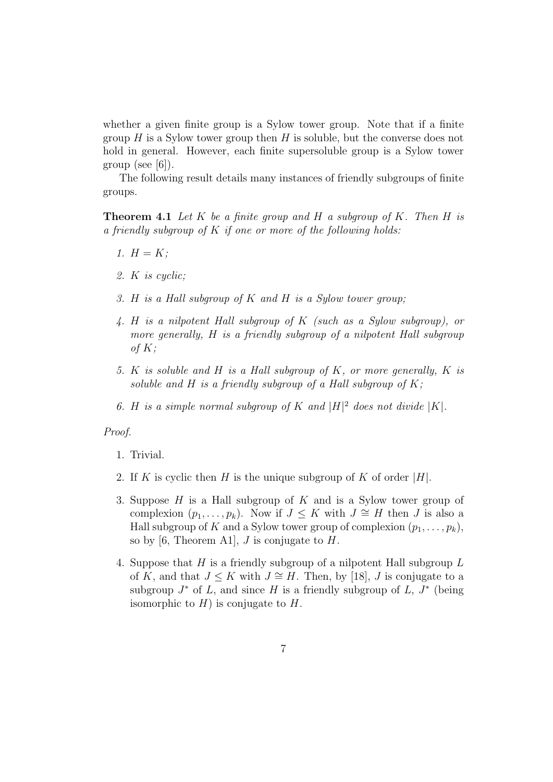whether a given finite group is a Sylow tower group. Note that if a finite group  $H$  is a Sylow tower group then  $H$  is soluble, but the converse does not hold in general. However, each finite supersoluble group is a Sylow tower group (see [6]).

The following result details many instances of friendly subgroups of finite groups.

**Theorem 4.1** Let K be a finite group and H a subgroup of K. Then H is a friendly subgroup of  $K$  if one or more of the following holds:

- 1.  $H = K$ ;
- 2. K is cyclic;
- 3. H is a Hall subgroup of K and H is a Sylow tower group;
- 4. H is a nilpotent Hall subgroup of K (such as a Sylow subgroup), or more generally, H is a friendly subgroup of a nilpotent Hall subgroup of  $K$ ;
- 5. K is soluble and H is a Hall subgroup of K, or more generally, K is soluble and H is a friendly subgroup of a Hall subgroup of  $K$ ;
- 6. H is a simple normal subgroup of K and  $|H|^2$  does not divide  $|K|$ .

#### Proof.

- 1. Trivial.
- 2. If K is cyclic then H is the unique subgroup of K of order  $|H|$ .
- 3. Suppose  $H$  is a Hall subgroup of  $K$  and is a Sylow tower group of complexion  $(p_1, \ldots, p_k)$ . Now if  $J \leq K$  with  $J \cong H$  then J is also a Hall subgroup of K and a Sylow tower group of complexion  $(p_1, \ldots, p_k)$ , so by [6, Theorem A1],  $J$  is conjugate to  $H$ .
- 4. Suppose that  $H$  is a friendly subgroup of a nilpotent Hall subgroup  $L$ of K, and that  $J \leq K$  with  $J \cong H$ . Then, by [18], J is conjugate to a subgroup  $J^*$  of L, and since H is a friendly subgroup of L,  $J^*$  (being isomorphic to  $H$ ) is conjugate to  $H$ .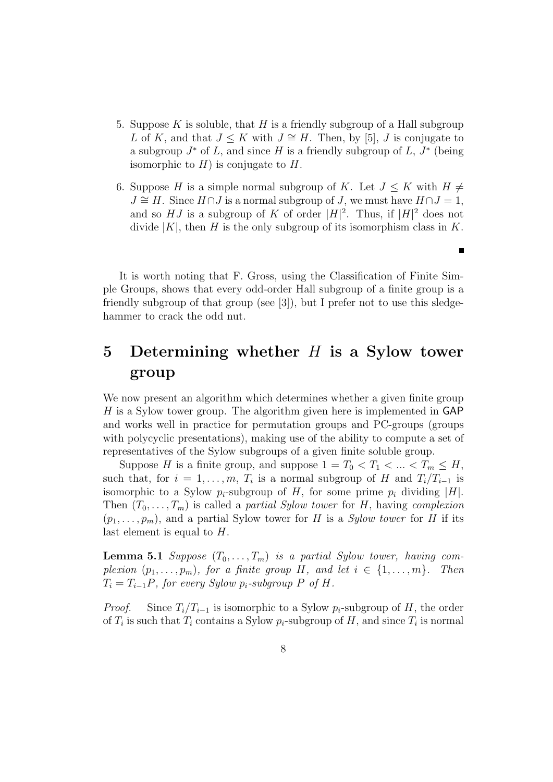- 5. Suppose K is soluble, that H is a friendly subgroup of a Hall subgroup L of K, and that  $J \leq K$  with  $J \cong H$ . Then, by [5], J is conjugate to a subgroup  $J^*$  of L, and since H is a friendly subgroup of L,  $J^*$  (being isomorphic to  $H$ ) is conjugate to  $H$ .
- 6. Suppose H is a simple normal subgroup of K. Let  $J \leq K$  with  $H \neq$  $J \cong H$ . Since  $H \cap J$  is a normal subgroup of J, we must have  $H \cap J = 1$ , and so HJ is a subgroup of K of order  $|H|^2$ . Thus, if  $|H|^2$  does not divide  $|K|$ , then H is the only subgroup of its isomorphism class in K.

It is worth noting that F. Gross, using the Classification of Finite Simple Groups, shows that every odd-order Hall subgroup of a finite group is a friendly subgroup of that group (see [3]), but I prefer not to use this sledgehammer to crack the odd nut.

# 5 Determining whether  $H$  is a Sylow tower group

We now present an algorithm which determines whether a given finite group  $H$  is a Sylow tower group. The algorithm given here is implemented in GAP and works well in practice for permutation groups and PC-groups (groups with polycyclic presentations), making use of the ability to compute a set of representatives of the Sylow subgroups of a given finite soluble group.

Suppose H is a finite group, and suppose  $1 = T_0 < T_1 < ... < T_m \leq H$ , such that, for  $i = 1, \ldots, m$ ,  $T_i$  is a normal subgroup of H and  $T_i/T_{i-1}$  is isomorphic to a Sylow  $p_i$ -subgroup of H, for some prime  $p_i$  dividing |H|. Then  $(T_0, \ldots, T_m)$  is called a *partial Sylow tower* for H, having *complexion*  $(p_1, \ldots, p_m)$ , and a partial Sylow tower for H is a *Sylow tower* for H if its last element is equal to H.

**Lemma 5.1** Suppose  $(T_0, \ldots, T_m)$  is a partial Sylow tower, having complexion  $(p_1, \ldots, p_m)$ , for a finite group H, and let  $i \in \{1, \ldots, m\}$ . Then  $T_i = T_{i-1}P$ , for every Sylow  $p_i$ -subgroup P of H.

*Proof.* Since  $T_i/T_{i-1}$  is isomorphic to a Sylow  $p_i$ -subgroup of H, the order of  $T_i$  is such that  $T_i$  contains a Sylow  $p_i$ -subgroup of H, and since  $T_i$  is normal

 $\blacksquare$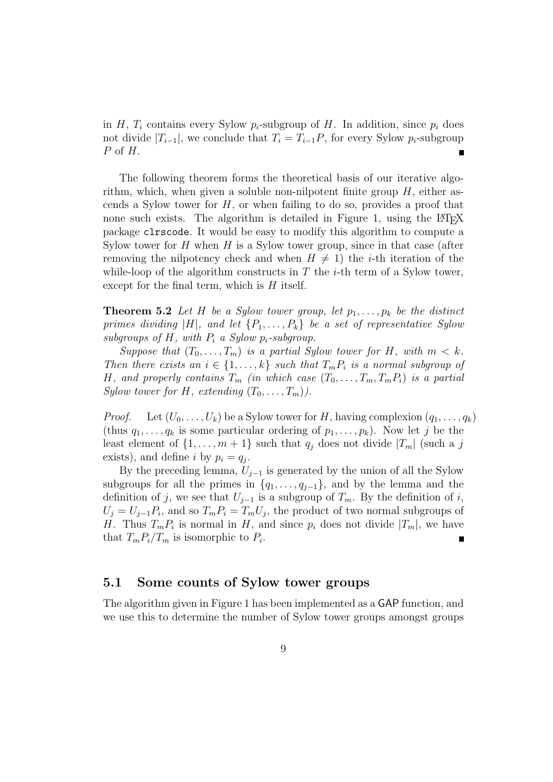in H,  $T_i$  contains every Sylow  $p_i$ -subgroup of H. In addition, since  $p_i$  does not divide  $|T_{i-1}|$ , we conclude that  $T_i = T_{i-1}P$ , for every Sylow  $p_i$ -subgroup P of H.

The following theorem forms the theoretical basis of our iterative algorithm, which, when given a soluble non-nilpotent finite group  $H$ , either ascends a Sylow tower for  $H$ , or when failing to do so, provides a proof that none such exists. The algorithm is detailed in Figure 1, using the LATEX package clrscode. It would be easy to modify this algorithm to compute a Sylow tower for  $H$  when  $H$  is a Sylow tower group, since in that case (after removing the nilpotency check and when  $H \neq 1$ ) the *i*-th iteration of the while-loop of the algorithm constructs in  $T$  the *i*-th term of a Sylow tower, except for the final term, which is  $H$  itself.

**Theorem 5.2** Let H be a Sylow tower group, let  $p_1, \ldots, p_k$  be the distinct primes dividing |H|, and let  $\{P_1, \ldots, P_k\}$  be a set of representative Sylow subgroups of H, with  $P_i$  a Sylow  $p_i$ -subgroup.

Suppose that  $(T_0, \ldots, T_m)$  is a partial Sylow tower for H, with  $m < k$ . Then there exists an  $i \in \{1, \ldots, k\}$  such that  $T_m P_i$  is a normal subgroup of H, and properly contains  $T_m$  (in which case  $(T_0, \ldots, T_m, T_m P_i)$ ) is a partial Sylow tower for H, extending  $(T_0, \ldots, T_m)$ .

*Proof.* Let  $(U_0, \ldots, U_k)$  be a Sylow tower for H, having complexion  $(q_1, \ldots, q_k)$ (thus  $q_1, \ldots, q_k$  is some particular ordering of  $p_1, \ldots, p_k$ ). Now let j be the least element of  $\{1, \ldots, m+1\}$  such that  $q_i$  does not divide  $|T_m|$  (such a j exists), and define *i* by  $p_i = q_j$ .

By the preceding lemma,  $U_{j-1}$  is generated by the union of all the Sylow subgroups for all the primes in  $\{q_1, \ldots, q_{j-1}\}$ , and by the lemma and the definition of j, we see that  $U_{j-1}$  is a subgroup of  $T_m$ . By the definition of i,  $U_j = U_{j-1}P_i$ , and so  $T_m P_i = T_m U_j$ , the product of two normal subgroups of H. Thus  $T_m P_i$  is normal in H, and since  $p_i$  does not divide  $|T_m|$ , we have that  $T_m P_i / T_m$  is isomorphic to  $P_i$ .

#### 5.1 Some counts of Sylow tower groups

The algorithm given in Figure 1 has been implemented as a GAP function, and we use this to determine the number of Sylow tower groups amongst groups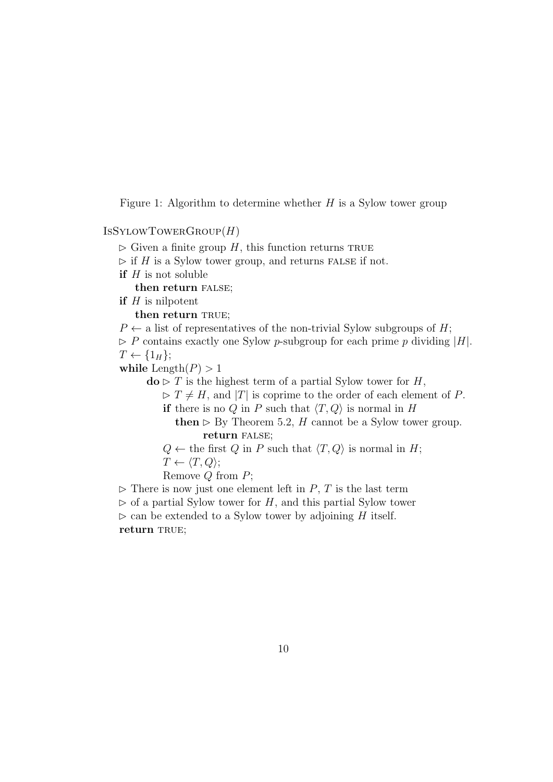Figure 1: Algorithm to determine whether  $H$  is a Sylow tower group

 $ISSYLOWTOWERGROUP(H)$ 

- $\triangleright$  Given a finite group H, this function returns TRUE
- $\triangleright$  if H is a Sylow tower group, and returns FALSE if not.
- if  $H$  is not soluble

then return FALSE;

if  $H$  is nilpotent

then return TRUE;

 $P \leftarrow$  a list of representatives of the non-trivial Sylow subgroups of H;

 $\triangleright$  P contains exactly one Sylow p-subgroup for each prime p dividing |H|.  $T \leftarrow \{1_H\};$ 

while  $\text{Length}(P) > 1$ 

 $\mathbf{do} \triangleright T$  is the highest term of a partial Sylow tower for H,

 $\triangleright T \neq H$ , and |T| is coprime to the order of each element of P.

if there is no Q in P such that  $\langle T, Q \rangle$  is normal in H

then  $\triangleright$  By Theorem 5.2, H cannot be a Sylow tower group. return false;

 $Q \leftarrow$  the first Q in P such that  $\langle T, Q \rangle$  is normal in H;  $T \leftarrow \langle T, Q \rangle;$ 

Remove  $Q$  from  $P$ ;

 $\triangleright$  There is now just one element left in P, T is the last term

 $\triangleright$  of a partial Sylow tower for H, and this partial Sylow tower

 $\triangleright$  can be extended to a Sylow tower by adjoining H itself.

return TRUE;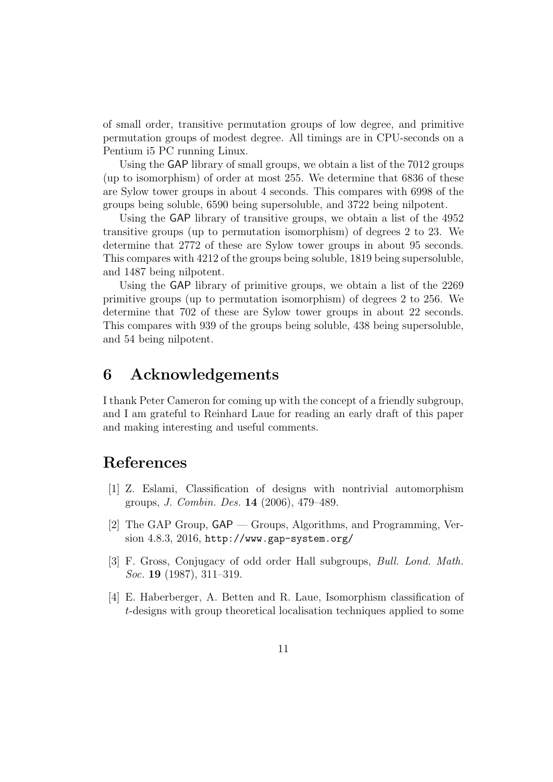of small order, transitive permutation groups of low degree, and primitive permutation groups of modest degree. All timings are in CPU-seconds on a Pentium i5 PC running Linux.

Using the GAP library of small groups, we obtain a list of the 7012 groups (up to isomorphism) of order at most 255. We determine that 6836 of these are Sylow tower groups in about 4 seconds. This compares with 6998 of the groups being soluble, 6590 being supersoluble, and 3722 being nilpotent.

Using the GAP library of transitive groups, we obtain a list of the 4952 transitive groups (up to permutation isomorphism) of degrees 2 to 23. We determine that 2772 of these are Sylow tower groups in about 95 seconds. This compares with 4212 of the groups being soluble, 1819 being supersoluble, and 1487 being nilpotent.

Using the GAP library of primitive groups, we obtain a list of the 2269 primitive groups (up to permutation isomorphism) of degrees 2 to 256. We determine that 702 of these are Sylow tower groups in about 22 seconds. This compares with 939 of the groups being soluble, 438 being supersoluble, and 54 being nilpotent.

### 6 Acknowledgements

I thank Peter Cameron for coming up with the concept of a friendly subgroup, and I am grateful to Reinhard Laue for reading an early draft of this paper and making interesting and useful comments.

### References

- [1] Z. Eslami, Classification of designs with nontrivial automorphism groups, J. Combin. Des. 14 (2006), 479–489.
- [2] The GAP Group, GAP Groups, Algorithms, and Programming, Version 4.8.3, 2016, http://www.gap-system.org/
- [3] F. Gross, Conjugacy of odd order Hall subgroups, Bull. Lond. Math. Soc. **19** (1987), 311-319.
- [4] E. Haberberger, A. Betten and R. Laue, Isomorphism classification of t-designs with group theoretical localisation techniques applied to some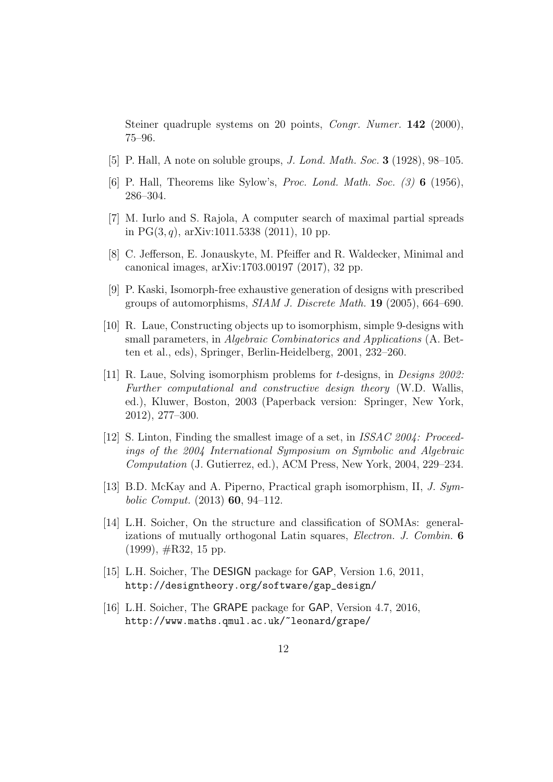Steiner quadruple systems on 20 points, *Congr. Numer.* **142** (2000), 75–96.

- [5] P. Hall, A note on soluble groups, J. Lond. Math. Soc. 3 (1928), 98–105.
- [6] P. Hall, Theorems like Sylow's, Proc. Lond. Math. Soc. (3) 6 (1956), 286–304.
- [7] M. Iurlo and S. Rajola, A computer search of maximal partial spreads in PG $(3, q)$ , arXiv:1011.5338 (2011), 10 pp.
- [8] C. Jefferson, E. Jonauskyte, M. Pfeiffer and R. Waldecker, Minimal and canonical images, arXiv:1703.00197 (2017), 32 pp.
- [9] P. Kaski, Isomorph-free exhaustive generation of designs with prescribed groups of automorphisms, SIAM J. Discrete Math. 19 (2005), 664–690.
- [10] R. Laue, Constructing objects up to isomorphism, simple 9-designs with small parameters, in Algebraic Combinatorics and Applications (A. Betten et al., eds), Springer, Berlin-Heidelberg, 2001, 232–260.
- [11] R. Laue, Solving isomorphism problems for *t*-designs, in *Designs 2002*: Further computational and constructive design theory (W.D. Wallis, ed.), Kluwer, Boston, 2003 (Paperback version: Springer, New York, 2012), 277–300.
- [12] S. Linton, Finding the smallest image of a set, in ISSAC 2004: Proceedings of the 2004 International Symposium on Symbolic and Algebraic Computation (J. Gutierrez, ed.), ACM Press, New York, 2004, 229–234.
- [13] B.D. McKay and A. Piperno, Practical graph isomorphism, II, J. Symbolic Comput.  $(2013)$  60, 94-112.
- [14] L.H. Soicher, On the structure and classification of SOMAs: generalizations of mutually orthogonal Latin squares, Electron. J. Combin. 6  $(1999), \#R32, 15$  pp.
- [15] L.H. Soicher, The DESIGN package for GAP, Version 1.6, 2011, http://designtheory.org/software/gap\_design/
- [16] L.H. Soicher, The GRAPE package for GAP, Version 4.7, 2016, http://www.maths.qmul.ac.uk/~leonard/grape/